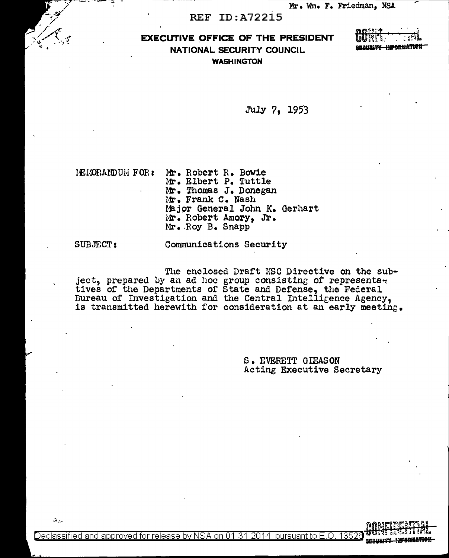## EXECUTIVE OFFICE OF THE PRESIDENT NATIONAL SECURITY COUNCIL WASHINGTON

| mont *         |                                                |
|----------------|------------------------------------------------|
| <b>LIUNEET</b> |                                                |
|                | <b>The Country of the Market of A Property</b> |

July 7, 1953

lEHOP.ANDUH FOR: Mr. Robert R. Bowie Mr. Elbert P. Tuttle Mr. Thomas J. Donegan Mr. Frank c. Nash Major General John K. Gerhart Mr. Robert Amory, Jr. Mr •. Roy B. Snapp

SUBJECT:

Communications Security

The enclosed Draft NSC Directive on the subject, prepared by an ad hoc group consisting of representatives of the Departments of State and Defense, the Federal Bureau of Investigation and the Central Intelli<sub>Eence</sub> Agency, is transmitted herewith for consideration at an early meeting.

> S. EVERETT GIEASON Acting Executive Secretary

 $\Delta$ ...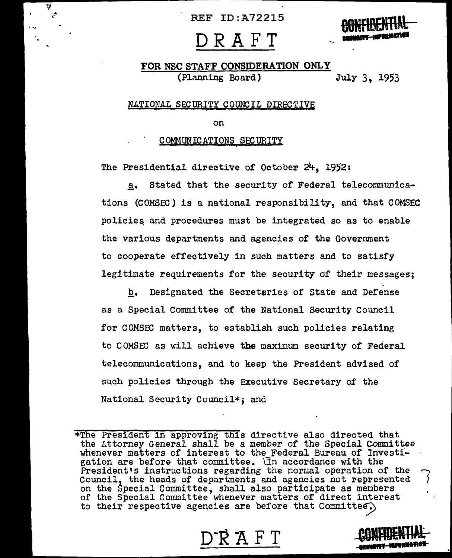H  $\mathcal{L}$ 

# **DRAFT**



## FOR NSC STAFF CONSIDERATION ONLY (Planning Board) July 3, 1953

## NATIONAL SECURITY COUNCIL DIRECTIVE

on

## COMMUNICATIONS SECURITY

The Presidential directive of October  $24.1952$ :

\_s. Stated that the security of Federal telecommunications (COMSEC) is a national responsibility, and that COMSEC policies and procedures must be integrated so as to enable the various departments and agencies of the Government to cooperate effectively in such matters and to satisfy legitimate requirements for the security of their messages;

b. Designated the Secretaries of State and Defense as a Special Committee of the National Security Council for COMSEC matters, to establish such policies relating to COMSEC as will achieve the maximum security of Federal telecommunications, and to keep the President advised of such policies through the Executive Secretary of the National Security Council\*; and

\*The President in approving this directive also directed that the Attorney General shall be a member of the Special Committee whenever matters of interest to the Federal Bureau of Investi-<br>gation are before that committee.  $\overline{\mathbb{I}}$ n accordance with the<br>President's instructions regarding the normal operation of the gation are before that committee.  $\bar{I}$ n accordance with the Council, the heads of departments and agencies not represented on the Special Committee, shall also participate as members of the Special Committee whenever matters of direct interest to their respective agencies are before that Committee.)

R A F

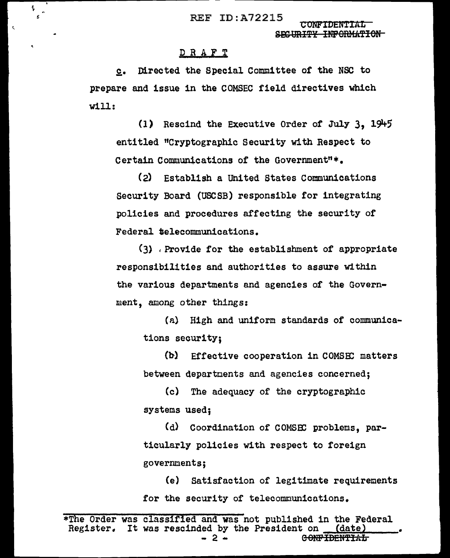REF ID:A72215 CONFIDENT

SEC URITY INFORMATION

## DRAFT

 $\frac{1}{4}$  $\frac{1}{\epsilon}$ 

 $\mathbf{C}$ 

c. Directed the Special Committee of the NSC to prepare and issue in the COMSEC field directives which will:

(l) Rescind the Executive Order *ot* July 3, 191+5 entitled "Cryptographic Security with Respect to Certain Communications of the Government"\*.

(2) Establish a united States Communications Security Board (USCSB) responsible for integrating policies and procedures affecting the security of Federal telecommunications.

(3) , Provide *tor* the establishment of appropriate responsibilities and authorities to assure within the various departments and agencies of the Government, among other things:

(a) High and uniform standards or communications security;

(b) Effective cooperation in COMSEC matters between departments and agencies concerned;

(c) The adequacy of the cryptographic systems used;

(d) Coordination of COMSEC problems, particularly policies with respect to foreign governments;

(e) Satisfaction of legitimate requirements for the security of telecommunications.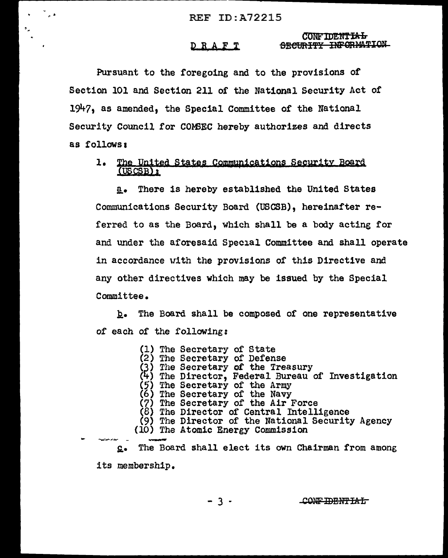#### **CONFIDENTIAL** SECURITY INFORMATION DRAFT

Pursuant to the foregoing and to the provisions of Section 101 and Section 211 of the National Security Act of 1947, as amended, the Special Committee of the National Security Council for COMSEC hereby authorizes and directs as follows:

#### $1.$ The United States Communications Security Board  $($ USCSB $)$   $\mathbf{1}$

There is hereby established the United States  $a_{\bullet}$ Communications Security Board (USCSB), hereinafter referred to as the Board, which shall be a body acting for and under the aforesaid Special Committee and shall operate in accordance with the provisions of this Directive and any other directives which may be issued by the Special Committee.

b. The Board shall be composed of one representative of each of the following:

> (1) The Secretary of State<br>(2) The Secretary of Defense (3) The Secretary of the Treasury (4) The Director, Federal Bureau of Investigation (5) The Secretary of the Army (6) The Secretary of the Navy<br>(7) The Secretary of the Air Force  $(8)$  The Director of Central Intelligence (9) The Director of the National Security Agency (10) The Atomic Energy Commission

The Board shall elect its own Chairman from among  $\Omega$ . its membership.

 $-3 -$ 

CONFIDENTIAL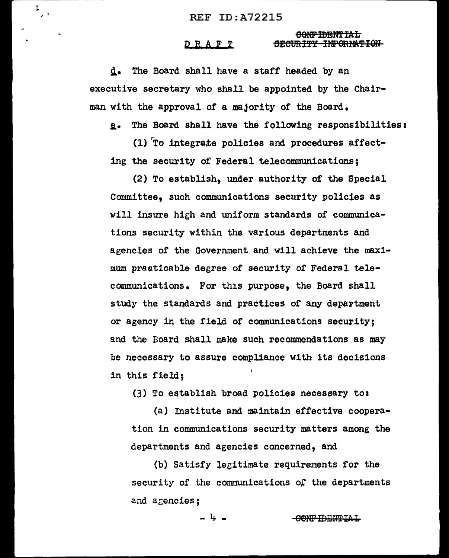$\frac{1}{2}$ 

#### CONFIDENTIAL DRAFT SECURITY INFORMATION

d. The Board shall have a staff headed by an executive secretary who shall be appointed by the Chairman with the approval of a majority of the Board.

e. The Board shall have the following responsibilities:

(1) To integrate policies and procedures affecting the security of Federal telecommunications:

(2) To establish, under authority of the Special Committee. such communications security policies as will insure high and uniform standards of communications security within the various departments and agencies of the Government and will achieve the maximum practicable degree of security of Federal telecommunications. For this purpose, the Board shall study the standards and practices of any department or agency in the field of communications security; and the Board shall make such recommendations as may be necessary to assure compliance with its decisions in this field:

(3) To establish broad policies necessary to:

(a) Institute and maintain effective cooperation in communications security matters among the departments and agencies concerned, and

(b) Satisfy legitimate requirements for the security of the communications of the departments and agencies;

 $-1$   $-$ 

CONFIDENTIAL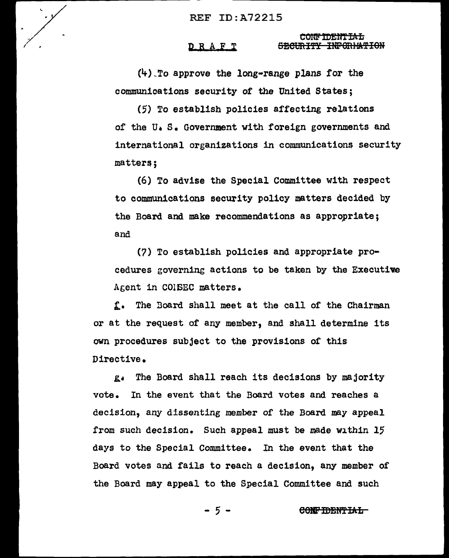## DRAFT

CONFIDENTIAL SECURITY INFORMATION

 $(4)$  To approve the long-range plans for the communications security of the United States;

(5) To establish policies affecting relations of the U.S. Government with foreign governments and international organizations in communications security matters;

(6) To advise the Special Committee with respect to communications security policy matters decided by the Board and make recommendations as appropriate; and

(7) To establish policies and appropriate procedures governing actions to be taken by the Executive Agent in COISEC matters.

f. The Board shall meet at the call of the Chairman or at the request of any member, and shall determine its own procedures subject to the provisions of this Directive.

The Board shall reach its decisions by majority  $g_{d}$ vote. In the event that the Board votes and reaches a decision, any dissenting member of the Board may appeal from such decision. Such appeal must be made within 15 days to the Special Committee. In the event that the Board votes and fails to reach a decision, any member of the Board may appeal to the Special Committee and such

> $-5-$ CONFIDENTIAL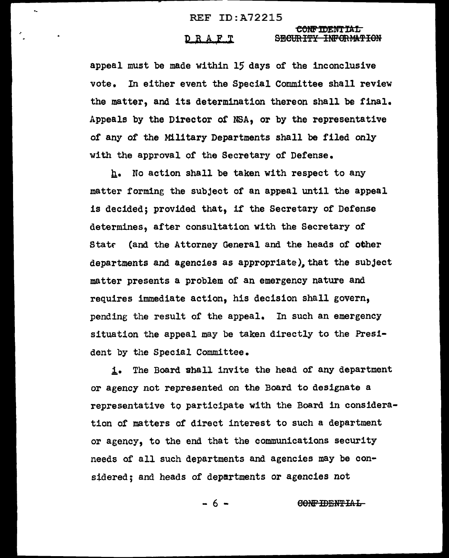$\tilde{\phantom{a}}$ 

## <del>CONFIDENTIAL</del><br>D R A F T SECURITY INFORMATION

appeal must be made within 15 days of the inconclusive vote. In either event the Special Committee shall review the matter, and its determination thereon shall be final. Appeals by the Director of NSA, or by the representative of any of the Military Departments shall be filed only with the approval or the Secretary of Defense.

 $h_{\bullet}$  No action shall be taken with respect to any matter forming the subject of an appeal until the appeal is decided; provided that, if the Secretary of Defense determines, after consultation with the Secretary or Statr (and the Attorney General and the heads of other departments and agencies as appropriate), that the subject matter presents a problem of an emergency nature and requires immediate action, his decision shall govern, pending the result of the appeal. In such an emergency situation the appeal may be taken directly to the President by the Special Committee.

i. The Board shall invite the head of any department or agency not represented on the Board to designate a representative to participate with the Board in consideration of matters of direct interest to such a department or agency, to the end that the communications security needs of all such departments and agencies may be considered; and heads of departments or agencies not

 $- 6$  -  $\qquad \qquad \text{CONF} \text{IDENTLAL}$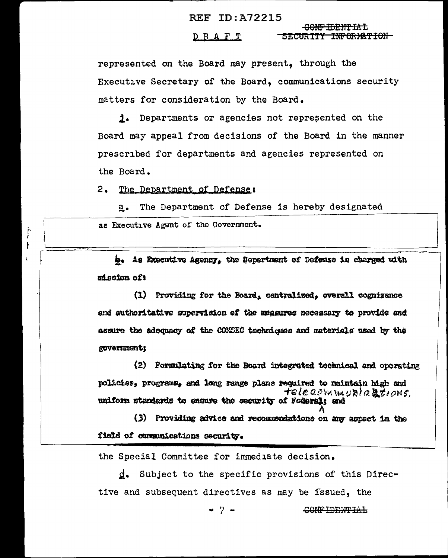#### <del>CONFIDENTIAL</del>  $D$  R  $A$  F T <u>-SECURITY INFORMATION-</u>

represented on the Board may present, through the Executive Secretary of the Board, communications security matters for consideration by the Board.

**j.** Departments or agencies not represented on the Board may appeal from decisions of the Board in the manner prescribed for departments and agencies represented on the Board.

 $2.$ The Department of Defense:

 $\mathfrak{f}$  $\mathbf{r}$ 

The Department of Defense is hereby designated  $a_{\bullet}$ as Executive Agwnt of the Government.

b. As Executive Agency, the Department of Defense is charged with mission of:

(1) Providing for the Board, centralized, overall cognizance and authoritative supervision of the measures necessary to provide and assure the adequacy of the COMSEC techniques and materials used by the government;

(2) Formulating for the Board integrated technical and operating policies, programs, and long range plans required to maintain high and telecommunications. uniform standards to ensure the security of Federal; and

(3) Providing advice and recommendations on any aspect in the field of communications security.

the Special Committee for immediate decision.

Subject to the specific provisions of this Direcd. tive and subsequent directives as may be issued, the

 $-7-$ 

CONFIDENTIAL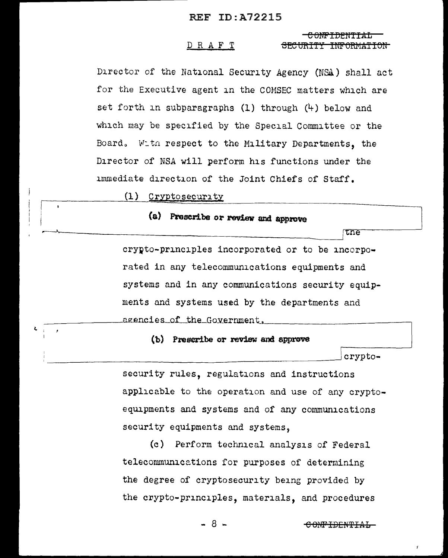#### DRAFT <del>SECURT</del> <del>INFORMATION</del>

Director of the National Security Agency (NSA) shall act for the Executive agent in the COMSEC matters which are set forth in subparagraphs (1) through (4) below and which may be specified by the Special Committee or the Board. With respect to the Military Departments, the Director of NSA will perform his functions under the immediate direction of the Joint Chiefs of Staff.

(1) Cryptosecurity

## (a) Prescribe or review and approve

the

crypto-principles incorporated or to be incorporated in any telecommunications equipments and systems and in any communications security equipments and systems used by the departments and agencies of the Government.

## (b) Prescribe or review and approve

crypto-

security rules, regulations and instructions applicable to the operation and use of any cryptoequipments and systems and of any communications security equipments and systems.

(c) Perform technical analysis of Federal telecommunications for purposes of determining the degree of cryptosecurity being provided by the crypto-principles, materials, and procedures

- 8 -

<del>CONFIDENTIAL</del>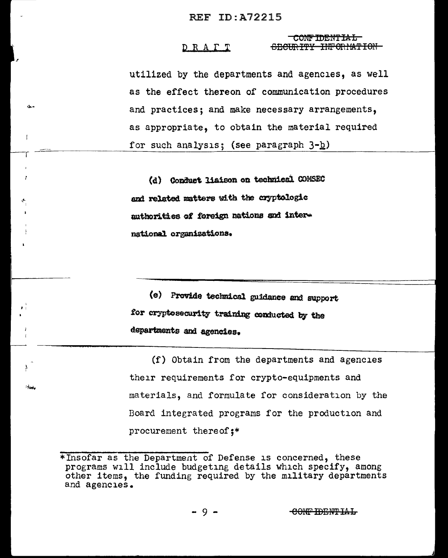#### CONFIDENTIAL DRAPT SECIES THE VEHICLE THEORIES

utilized by the departments and agencies, as well as the effect thereon of communication procedures and practices; and make necessary arrangements, as appropriate, to obtain the material required for such analysis; (see paragraph  $3-D$ )

(d) Conduct liaison on technical CONSEC and related matters with the cryptologic suthorities of foreign nations and international organizations.

 $\mathbf{I}$ 

z

ł

المغاوا

(e) Provide technical guidance and support for cryptosecurity training conducted by the departments and agencies.

(f) Obtain from the departments and agencies their requirements for crypto-equipments and materials, and formulate for consideration by the Board integrated programs for the production and procurement thereof;\*

<sup>\*</sup>Insofar as the Department of Defense is concerned, these programs will include budgeting details which specify, among other items, the funding required by the military departments and agencies.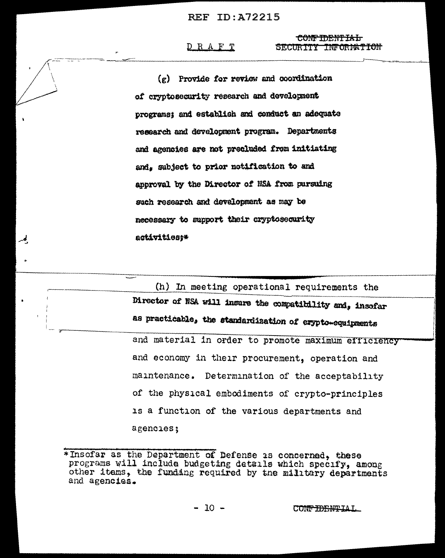## DRAFT

لمر

## CONFIDENTIAL SECURITY INFORMATION

 $(g)$  Provide for review and coordination of cryptosecurity research and development programs: and establish and conduct an adequate research and development program. Departments and agencies are not precluded from initiating and, subject to prior notification to and approval by the Director of NSA from pursuing such research and development as may be necessary to support their cryptosecurity activities:\*

(h) In meeting operational requirements the Director of NSA will insure the compatibility and, insofar as practicable, the standardization of erypto-equipments and material in order to promote maximum efficiency and economy in their procurement, operation and maintenance. Determination of the acceptability of the physical embodiments of crypto-principles is a function of the various departments and agencies;

<sup>\*</sup>Insofar as the Department of Defense is concerned, these programs will include budgeting details which specify, among other items, the funding required by the military departments and agencies.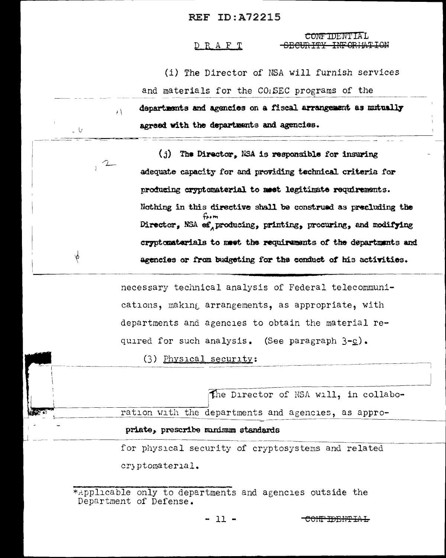## DRAFT

 $\sim$  V

 $\phi$ 

CONFIDENTIAL SECURITY INFORMATION

(i) The Director of NSA will furnish services

and materials for the COISEC programs of the

departments and agencies on a fiscal arrangement as mutually  $\mathbf{A}$ agreed with the departments and agencies.

(j) The Director. NSA is responsible for insuring adequate capacity for and providing technical criteria for producing cryptomaterial to meet legitimate requirements. Nothing in this directive shall be construed as precluding the Director, NSA ef producing, printing, procuring, and modifying cryptomaterials to meet the requirements of the departments and agencies or from budgeting for the conduct of his activities.

necessary technical analysis of Federal telecommunications, making arrangements, as appropriate, with departments and agencies to obtain the material required for such analysis. (See paragraph  $3-\underline{c}$ ).

 $(3)$  Physical security:

The Director of NSA will, in collabo-

ration with the departments and agencies, as appro-

priate, prescribe minimum standards

for physical security of cryptosystems and related cryptomaterial.

\*Applicable only to departments and agencies outside the Department of Defense.

 $-11 -$ 

CONT IDENTIAL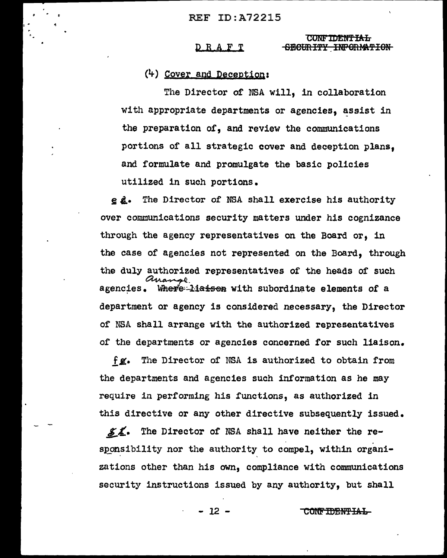#### **CONFIDENTIAL** DRAFT SECURITY INFORMATION

## $(4)$  Cover and Deception:

The Director of NSA will. in collaboration with appropriate departments or agencies, assist in the preparation of, and review the communications portions of all strategic cover and deception plans. and formulate and promulgate the basic policies utilized in such portions.

e d. The Director of N5A shall exercise his authority over communications security matters under his cognizance through the agency representatives on the Board or, in the case of agencies not represented on the Board, through the duly authorized representatives of the heads of such Where liats on with subordinate elements of a agencies. department or agency is considered necessary, the Director of NSA shall arrange with the authorized representatives of the departments or agencies concerned for such liaison.

The Director of NSA is authorized to obtain from fg. the departments and agencies such information as he may require in performing his functions, as authorized in this directive or any other directive subsequently issued.

 $Z$ The Director of NSA shall have neither the responsibility nor the authority to compel, within organizations other than his own, compliance with communications security instructions issued by any authority, but shall

 $-12 -$ 

<del>CONFIDENTIAL</del>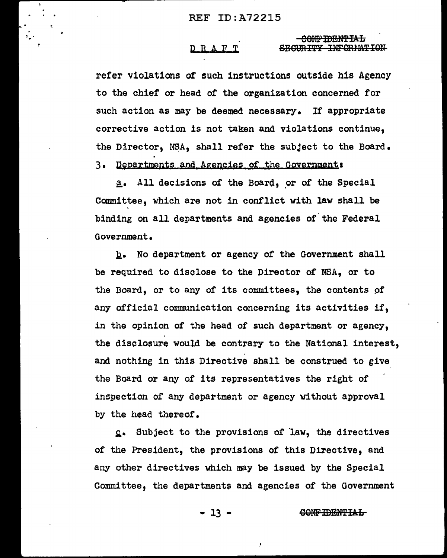## D B, A F T

<del>CONFIDENTIAL</del> SECURITY INFORMATION

refer violations of such instructions outside his Agency to the chief or head *of* the organization concerned for such action as may be deemed necessary. If appropriate corrective action is not taken and violations continue, the Director, NSA, shall refer the subject to the Board.

3. Departments and Agencies of the Government:

a. All decisions of the Board, or of the Special Committee, which are not in conflict with law shall be binding on all departments and agencies of the Federal Government •

b. No department or agency of the Government shall be required to disclose to the Director of NSA, or to the Board, or to any of its committees, the contents pf any official communication concerning its activities if, in the opinion of the head of such department or agency, the disclosure would be contrary to the National interest, and nothing in this Directive shall be construed to give the Board or any of its representatives the right *of*  inspection of any department or agency without approval by the head thereof.

£• Subject to the provisions of law, the directives of the President, the provisions of this Directive, and any other directives which may be issued by the Special Committee, the departments and agencies of the Government

- 13 - GONF IBBNTIAL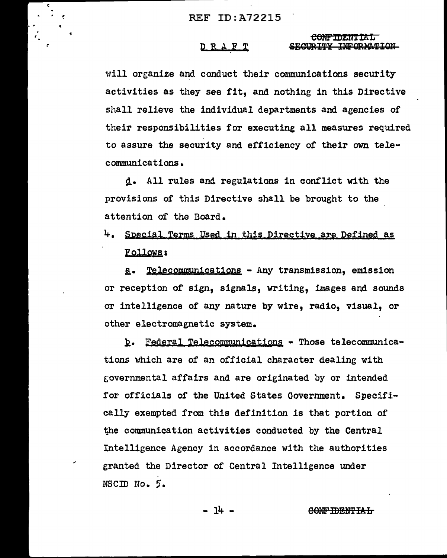D R A F T

## <del>CONFIDENTIAL</del> SECURITY INFORMATION

will organize and conduct their communications security activities as they see fit, and nothing in this Directive shall relieve the individual departments and agencies of their responsibilities for executing all measures required to assure the security and efficiency of their own telecommunications.

d. All rules and regulations in conflict with the provisions of this Directive shall be brought to the attention of the Board.

4. Special Terms Used in this Directive are Defined as Follows:

a. Telecommunications - Any transmission, emission or reception of sign, signals, writing, images and sounds or intelligence of any nature by wire, radio, visual, or other electromagnetic system.

b. Federal Telecommunications - Those telecommunications which are of an official character dealing with governmental affairs and are originated by or intended for officials of the United States Government. Specifically exempted from this definition is that portion of the communication activities conducted by the Central Intelligence Agency in accordance with the authorities granted the Director of Central Intelligence under NSCID No. 5.

- 14 -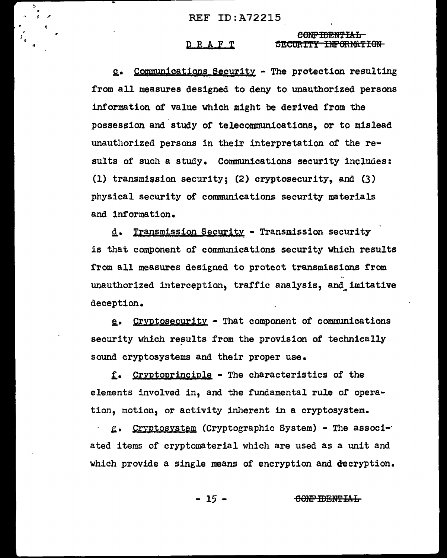#### DRAFT SECURITY INFORMATION

CONFIDENTIAL

Communications Security - The protection resulting  $c_{\bullet}$ from all measures designed to deny to unauthorized persons information of value which might be derived from the possession and study of telecommunications. or to mislead unauthorized persons in their interpretation of the results of such a study. Communications security includes: (1) transmission security; (2) cryptosecurity, and (3) physical security of communications security materials and information.

d. Transmission Security - Transmission security is that component of communications security which results from all measures designed to protect transmissions from unauthorized interception, traffic analysis, and imitative deception.

e. Cryptosecurity - That component of communications security which results from the provision of technically sound cryptosystems and their proper use.

f. Cryptoprinciple - The characteristics of the elements involved in. and the fundamental rule of operation, motion, or activity inherent in a cryptosystem.

g. Cryptosystem (Cryptographic System) - The associated items of cryptomaterial which are used as a unit and which provide a single means of encryption and decryption.

> $-15-$ CONFIDENTIAL